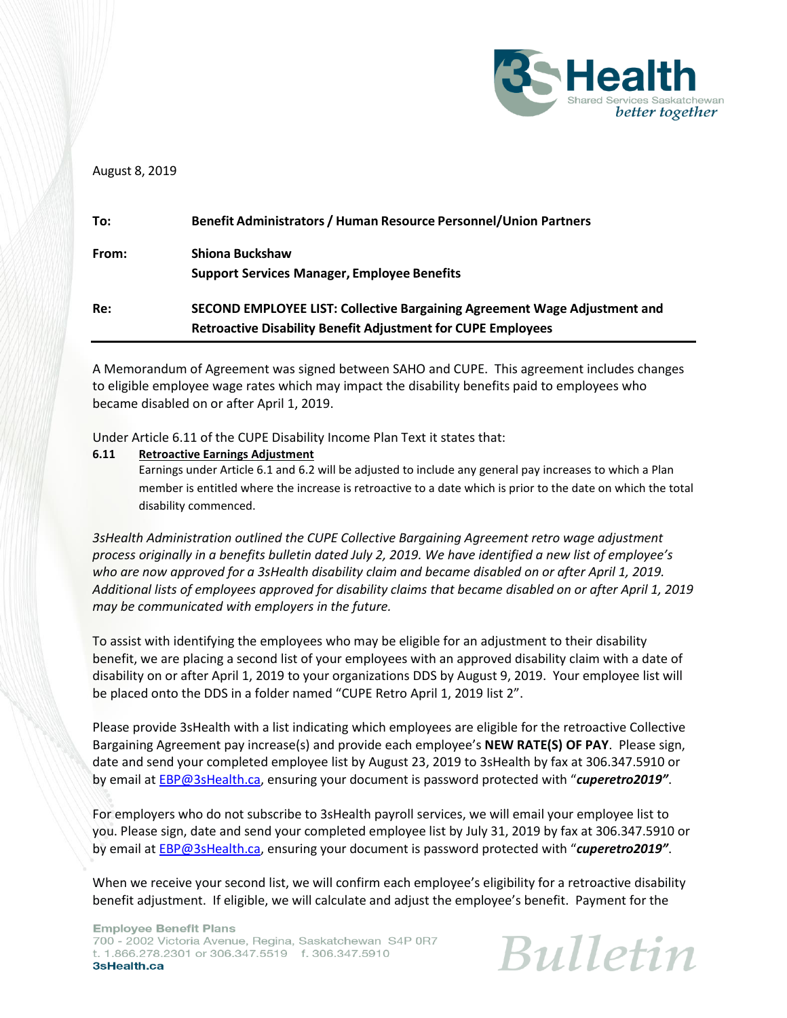

## August 8, 2019

| To:   | <b>Benefit Administrators / Human Resource Personnel/Union Partners</b>   |
|-------|---------------------------------------------------------------------------|
| From: | <b>Shiona Buckshaw</b>                                                    |
|       | <b>Support Services Manager, Employee Benefits</b>                        |
| Re:   | SECOND EMPLOYEE LIST: Collective Bargaining Agreement Wage Adjustment and |
|       | <b>Retroactive Disability Benefit Adjustment for CUPE Employees</b>       |

A Memorandum of Agreement was signed between SAHO and CUPE. This agreement includes changes to eligible employee wage rates which may impact the disability benefits paid to employees who became disabled on or after April 1, 2019.

Under Article 6.11 of the CUPE Disability Income Plan Text it states that:

## **6.11 Retroactive Earnings Adjustment**

Earnings under Article 6.1 and 6.2 will be adjusted to include any general pay increases to which a Plan member is entitled where the increase is retroactive to a date which is prior to the date on which the total disability commenced.

*3sHealth Administration outlined the CUPE Collective Bargaining Agreement retro wage adjustment process originally in a benefits bulletin dated July 2, 2019. We have identified a new list of employee's who are now approved for a 3sHealth disability claim and became disabled on or after April 1, 2019. Additional lists of employees approved for disability claims that became disabled on or after April 1, 2019 may be communicated with employers in the future.* 

To assist with identifying the employees who may be eligible for an adjustment to their disability benefit, we are placing a second list of your employees with an approved disability claim with a date of disability on or after April 1, 2019 to your organizations DDS by August 9, 2019. Your employee list will be placed onto the DDS in a folder named "CUPE Retro April 1, 2019 list 2".

Please provide 3sHealth with a list indicating which employees are eligible for the retroactive Collective Bargaining Agreement pay increase(s) and provide each employee's **NEW RATE(S) OF PAY**. Please sign, date and send your completed employee list by August 23, 2019 to 3sHealth by fax at 306.347.5910 or by email at [EBP@3sHealth.ca](mailto:EBP@3sHealth.ca), ensuring your document is password protected with "*cuperetro2019"*.

For employers who do not subscribe to 3sHealth payroll services, we will email your employee list to you. Please sign, date and send your completed employee list by July 31, 2019 by fax at 306.347.5910 or by email at [EBP@3sHealth.ca](mailto:EBP@3sHealth.ca), ensuring your document is password protected with "*cuperetro2019"*.

When we receive your second list, we will confirm each employee's eligibility for a retroactive disability benefit adjustment. If eligible, we will calculate and adjust the employee's benefit. Payment for the